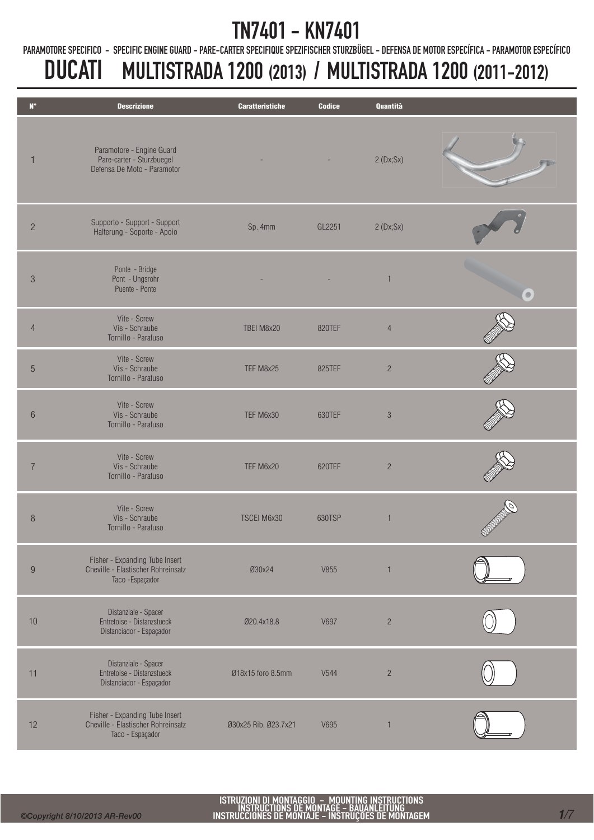PARAMOTORE SPECIFICO - SPECIFIC ENGINE GUARD - PARE-CARTER SPECIFIQUE SPEZIFISCHER STURZBÜGEL - DEFENSA DE MOTOR ESPECÍFICA - PARAMOTOR ESPECÍFICO

| $\mathbf{N}^\circ$ | <b>Descrizione</b>                                                                       | <b>Caratteristiche</b> | <b>Codice</b> | Quantità       |           |
|--------------------|------------------------------------------------------------------------------------------|------------------------|---------------|----------------|-----------|
|                    | Paramotore - Engine Guard<br>Pare-carter - Sturzbuegel<br>Defensa De Moto - Paramotor    |                        |               | 2(Dx;Sx)       |           |
| $\overline{2}$     | Supporto - Support - Support<br>Halterung - Soporte - Apoio                              | Sp. 4mm                | GL2251        | 2(Dx;Sx)       |           |
| $\mathfrak{S}$     | Ponte - Bridge<br>Pont - Ungsrohr<br>Puente - Ponte                                      |                        |               | $\mathbf{1}$   | $\bullet$ |
| $\overline{4}$     | Vite - Screw<br>Vis - Schraube<br>Tornillo - Parafuso                                    | TBEI M8x20             | 820TEF        | $\overline{4}$ |           |
| $\overline{5}$     | Vite - Screw<br>Vis - Schraube<br>Tornillo - Parafuso                                    | TEF M8x25              | 825TEF        | $\sqrt{2}$     |           |
| $6\phantom{.}$     | Vite - Screw<br>Vis - Schraube<br>Tornillo - Parafuso                                    | TEF M6x30              | 630TEF        | $\sqrt{3}$     |           |
| $\overline{7}$     | Vite - Screw<br>Vis - Schraube<br>Tornillo - Parafuso                                    | TEF M6x20              | 620TEF        | $\overline{c}$ |           |
| $\, 8$             | Vite - Screw<br>Vis - Schraube<br>Tornillo - Parafuso                                    | TSCEI M6x30            | 630TSP        | $\mathbf{1}$   |           |
| $9\phantom{.}$     | Fisher - Expanding Tube Insert<br>Cheville - Elastischer Rohreinsatz<br>Taco - Espaçador | Ø30x24                 | V855          | $\overline{1}$ |           |
| 10                 | Distanziale - Spacer<br>Entretoise - Distanzstueck<br>Distanciador - Espaçador           | Ø20.4x18.8             | V697          | $\overline{c}$ |           |
| 11                 | Distanziale - Spacer<br>Entretoise - Distanzstueck<br>Distanciador - Espaçador           | Ø18x15 foro 8.5mm      | V544          | $\overline{c}$ |           |
| 12                 | Fisher - Expanding Tube Insert<br>Cheville - Elastischer Rohreinsatz<br>Taco - Espaçador | Ø30x25 Rib. Ø23.7x21   | V695          | $\mathbf{1}$   |           |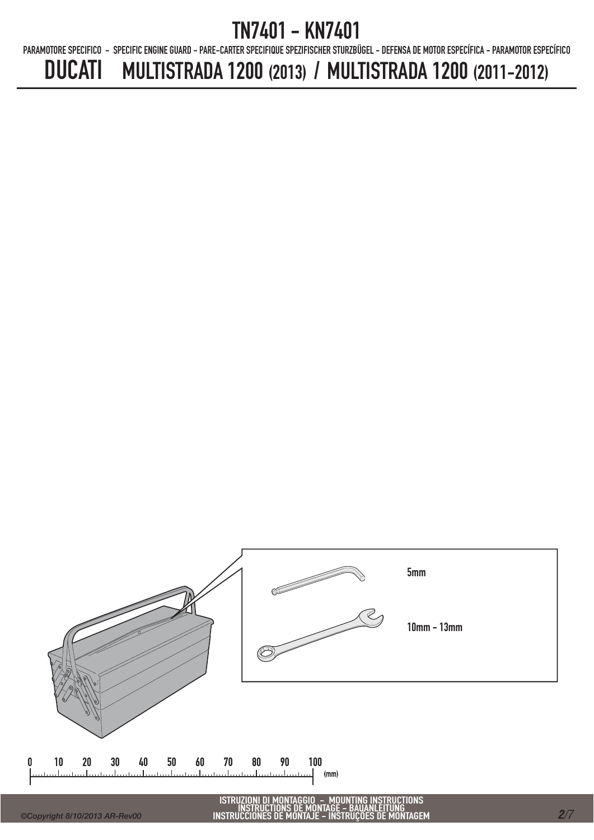PARAMOTORE SPECIFICO - SPECIFIC ENGINE GUARD - PARE-CARTER SPECIFIQUE SPEZIFISCHER STURZBÜGEL - DEFENSA DE MOTOR ESPECÍFICA - PARAMOTOR ESPECÍFICO

# DUCATI MULTISTRADA 1200 (2013) / MULTISTRADA 1200 (2011-2012)



 $\mathsf{\Omega}$ 

ISTRUZIONI DI MONTAGGIO - MOUNTING INSTRUCTIONS INSTRUCTIONS DE MONTAGE - BAUANLEITUNG INSTRUCCIONES DE MONTAJE - INSTRUÇÕES DE MONTAGEM *<sup>2</sup>/7*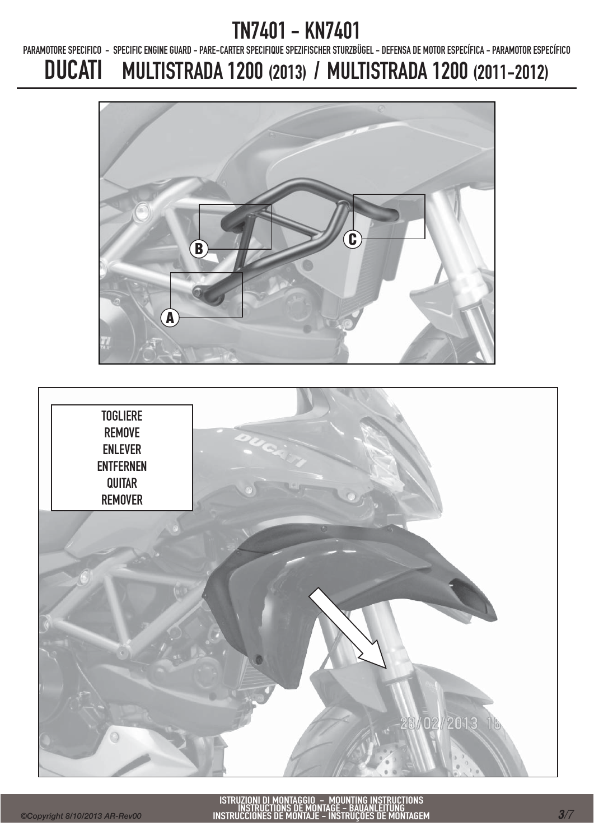PARAMOTORE SPECIFICO - SPECIFIC ENGINE GUARD - PARE-CARTER SPECIFIQUE SPEZIFISCHER STURZBÜGEL - DEFENSA DE MOTOR ESPECÍFICA - PARAMOTOR ESPECÍFICO



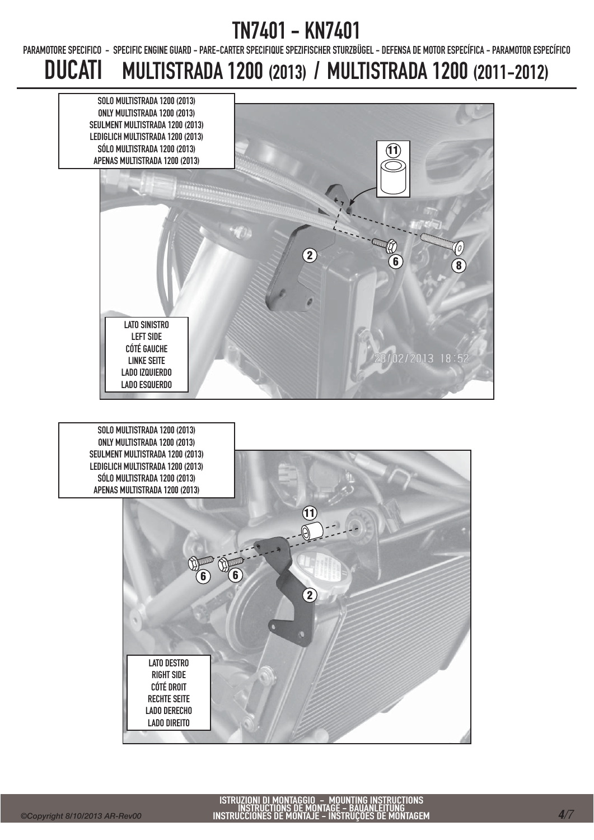PARAMOTORE SPECIFICO - SPECIFIC ENGINE GUARD - PARE-CARTER SPECIFIQUE SPEZIFISCHER STURZBÜGEL - DEFENSA DE MOTOR ESPECÍFICA - PARAMOTOR ESPECÍFICO

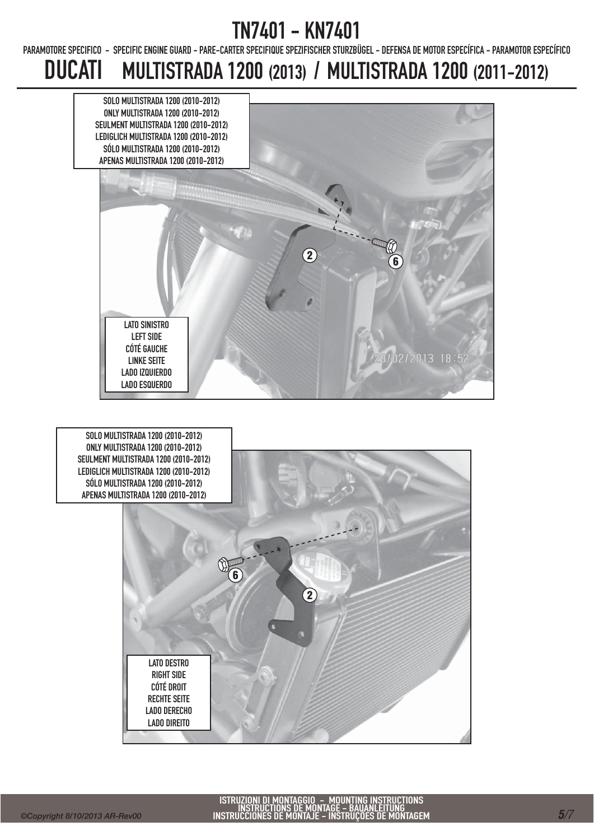PARAMOTORE SPECIFICO - SPECIFIC ENGINE GUARD - PARE-CARTER SPECIFIQUE SPEZIFISCHER STURZBÜGEL - DEFENSA DE MOTOR ESPECÍFICA - PARAMOTOR ESPECÍFICO

# DUCATI MULTISTRADA 1200 (2013) / MULTISTRADA 1200 (2011-2012)





SOLO MULTISTRADA 1200 (2010-2012) ONLY MULTISTRADA 1200 (2010-2012) SEULMENT MULTISTRADA 1200 (2010-2012) LEDIGLICH MULTISTRADA 1200 (2010-2012) SÓLO MULTISTRADA 1200 (2010-2012) APENAS MULTISTRADA 1200 (2010-2012)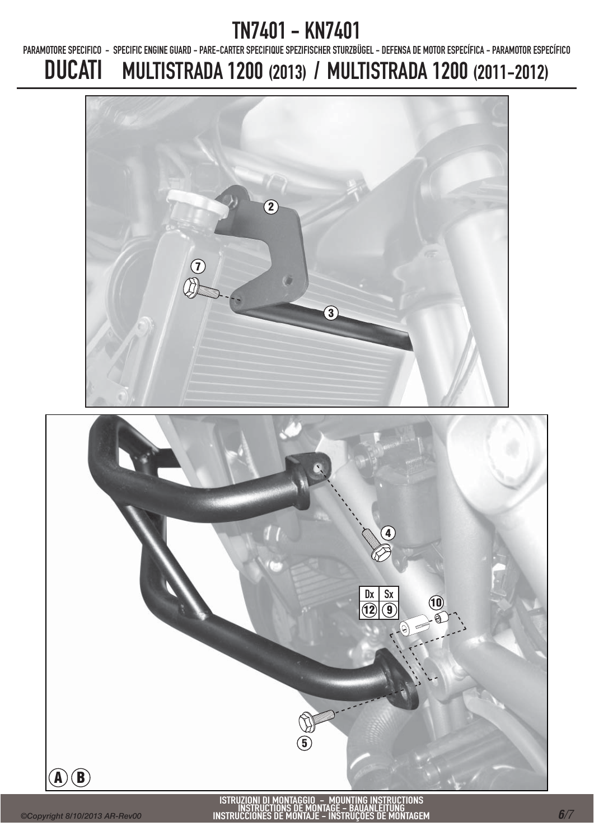PARAMOTORE SPECIFICO - SPECIFIC ENGINE GUARD - PARE-CARTER SPECIFIQUE SPEZIFISCHER STURZBÜGEL - DEFENSA DE MOTOR ESPECÍFICA - PARAMOTOR ESPECÍFICO